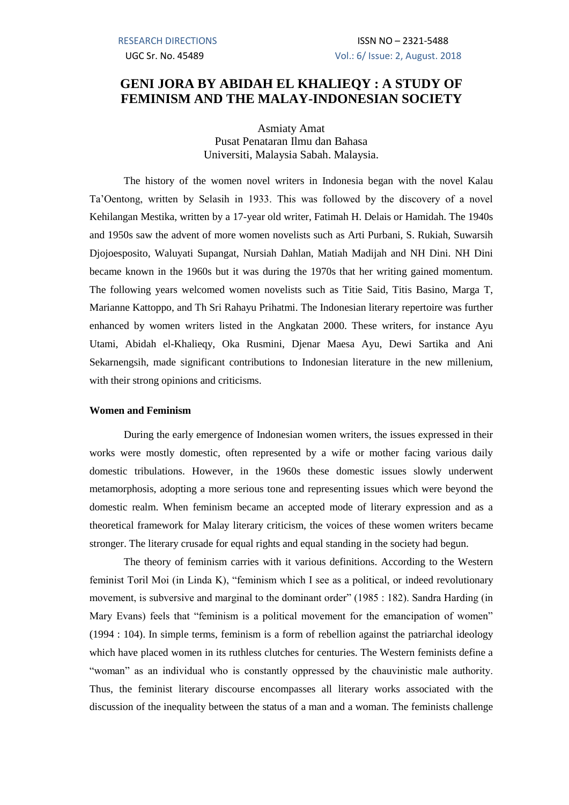# **GENI JORA BY ABIDAH EL KHALIEQY : A STUDY OF FEMINISM AND THE MALAY-INDONESIAN SOCIETY**

Asmiaty Amat Pusat Penataran Ilmu dan Bahasa Universiti, Malaysia Sabah. Malaysia.

The history of the women novel writers in Indonesia began with the novel Kalau Ta'Oentong, written by Selasih in 1933. This was followed by the discovery of a novel Kehilangan Mestika, written by a 17-year old writer, Fatimah H. Delais or Hamidah. The 1940s and 1950s saw the advent of more women novelists such as Arti Purbani, S. Rukiah, Suwarsih Djojoesposito, Waluyati Supangat, Nursiah Dahlan, Matiah Madijah and NH Dini. NH Dini became known in the 1960s but it was during the 1970s that her writing gained momentum. The following years welcomed women novelists such as Titie Said, Titis Basino, Marga T, Marianne Kattoppo, and Th Sri Rahayu Prihatmi. The Indonesian literary repertoire was further enhanced by women writers listed in the Angkatan 2000. These writers, for instance Ayu Utami, Abidah el-Khalieqy, Oka Rusmini, Djenar Maesa Ayu, Dewi Sartika and Ani Sekarnengsih, made significant contributions to Indonesian literature in the new millenium, with their strong opinions and criticisms.

### **Women and Feminism**

During the early emergence of Indonesian women writers, the issues expressed in their works were mostly domestic, often represented by a wife or mother facing various daily domestic tribulations. However, in the 1960s these domestic issues slowly underwent metamorphosis, adopting a more serious tone and representing issues which were beyond the domestic realm. When feminism became an accepted mode of literary expression and as a theoretical framework for Malay literary criticism, the voices of these women writers became stronger. The literary crusade for equal rights and equal standing in the society had begun.

The theory of feminism carries with it various definitions. According to the Western feminist Toril Moi (in Linda K), "feminism which I see as a political, or indeed revolutionary movement, is subversive and marginal to the dominant order" (1985 : 182). Sandra Harding (in Mary Evans) feels that "feminism is a political movement for the emancipation of women" (1994 : 104). In simple terms, feminism is a form of rebellion against the patriarchal ideology which have placed women in its ruthless clutches for centuries. The Western feminists define a "woman" as an individual who is constantly oppressed by the chauvinistic male authority. Thus, the feminist literary discourse encompasses all literary works associated with the discussion of the inequality between the status of a man and a woman. The feminists challenge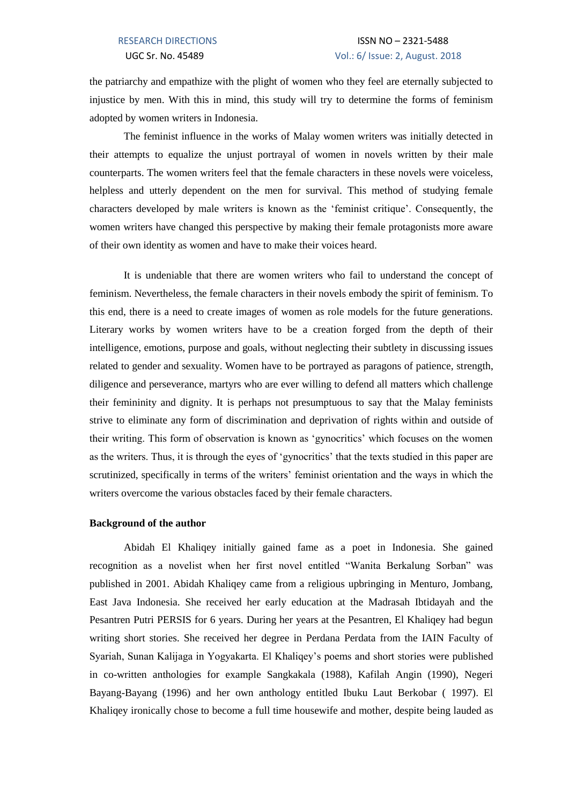the patriarchy and empathize with the plight of women who they feel are eternally subjected to injustice by men. With this in mind, this study will try to determine the forms of feminism adopted by women writers in Indonesia.

The feminist influence in the works of Malay women writers was initially detected in their attempts to equalize the unjust portrayal of women in novels written by their male counterparts. The women writers feel that the female characters in these novels were voiceless, helpless and utterly dependent on the men for survival. This method of studying female characters developed by male writers is known as the 'feminist critique'. Consequently, the women writers have changed this perspective by making their female protagonists more aware of their own identity as women and have to make their voices heard.

It is undeniable that there are women writers who fail to understand the concept of feminism. Nevertheless, the female characters in their novels embody the spirit of feminism. To this end, there is a need to create images of women as role models for the future generations. Literary works by women writers have to be a creation forged from the depth of their intelligence, emotions, purpose and goals, without neglecting their subtlety in discussing issues related to gender and sexuality. Women have to be portrayed as paragons of patience, strength, diligence and perseverance, martyrs who are ever willing to defend all matters which challenge their femininity and dignity. It is perhaps not presumptuous to say that the Malay feminists strive to eliminate any form of discrimination and deprivation of rights within and outside of their writing. This form of observation is known as 'gynocritics' which focuses on the women as the writers. Thus, it is through the eyes of 'gynocritics' that the texts studied in this paper are scrutinized, specifically in terms of the writers' feminist orientation and the ways in which the writers overcome the various obstacles faced by their female characters.

## **Background of the author**

Abidah El Khaliqey initially gained fame as a poet in Indonesia. She gained recognition as a novelist when her first novel entitled "Wanita Berkalung Sorban" was published in 2001. Abidah Khaliqey came from a religious upbringing in Menturo, Jombang, East Java Indonesia. She received her early education at the Madrasah Ibtidayah and the Pesantren Putri PERSIS for 6 years. During her years at the Pesantren, El Khaliqey had begun writing short stories. She received her degree in Perdana Perdata from the IAIN Faculty of Syariah, Sunan Kalijaga in Yogyakarta. El Khaliqey's poems and short stories were published in co-written anthologies for example Sangkakala (1988), Kafilah Angin (1990), Negeri Bayang-Bayang (1996) and her own anthology entitled Ibuku Laut Berkobar ( 1997). El Khaliqey ironically chose to become a full time housewife and mother, despite being lauded as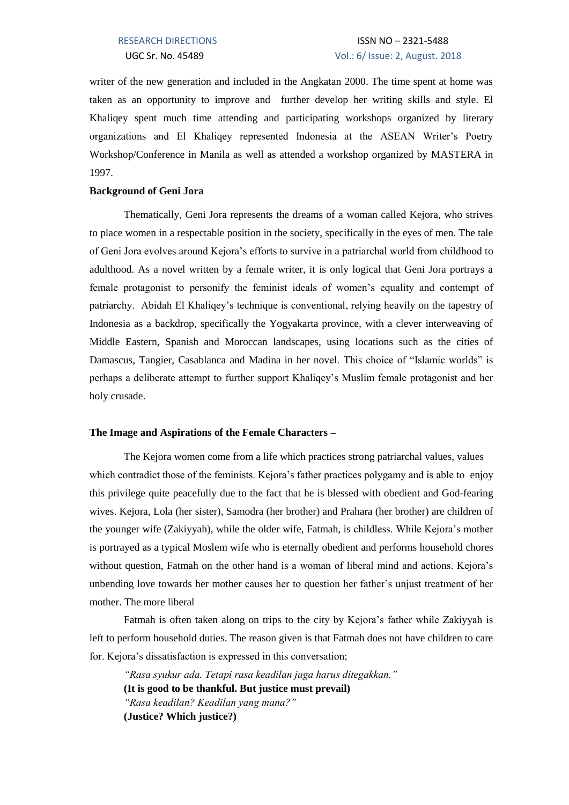writer of the new generation and included in the Angkatan 2000. The time spent at home was taken as an opportunity to improve and further develop her writing skills and style. El Khaliqey spent much time attending and participating workshops organized by literary organizations and El Khaliqey represented Indonesia at the ASEAN Writer's Poetry Workshop/Conference in Manila as well as attended a workshop organized by MASTERA in 1997.

### **Background of Geni Jora**

Thematically, Geni Jora represents the dreams of a woman called Kejora, who strives to place women in a respectable position in the society, specifically in the eyes of men. The tale of Geni Jora evolves around Kejora's efforts to survive in a patriarchal world from childhood to adulthood. As a novel written by a female writer, it is only logical that Geni Jora portrays a female protagonist to personify the feminist ideals of women's equality and contempt of patriarchy. Abidah El Khaliqey's technique is conventional, relying heavily on the tapestry of Indonesia as a backdrop, specifically the Yogyakarta province, with a clever interweaving of Middle Eastern, Spanish and Moroccan landscapes, using locations such as the cities of Damascus, Tangier, Casablanca and Madina in her novel. This choice of "Islamic worlds" is perhaps a deliberate attempt to further support Khaliqey's Muslim female protagonist and her holy crusade.

## **The Image and Aspirations of the Female Characters –**

The Kejora women come from a life which practices strong patriarchal values, values which contradict those of the feminists. Kejora's father practices polygamy and is able to enjoy this privilege quite peacefully due to the fact that he is blessed with obedient and God-fearing wives. Kejora, Lola (her sister), Samodra (her brother) and Prahara (her brother) are children of the younger wife (Zakiyyah), while the older wife, Fatmah, is childless. While Kejora's mother is portrayed as a typical Moslem wife who is eternally obedient and performs household chores without question, Fatmah on the other hand is a woman of liberal mind and actions. Kejora's unbending love towards her mother causes her to question her father's unjust treatment of her mother. The more liberal

Fatmah is often taken along on trips to the city by Kejora's father while Zakiyyah is left to perform household duties. The reason given is that Fatmah does not have children to care for. Kejora's dissatisfaction is expressed in this conversation;

*"Rasa syukur ada. Tetapi rasa keadilan juga harus ditegakkan."* **(It is good to be thankful. But justice must prevail)** *"Rasa keadilan? Keadilan yang mana?"* **(Justice? Which justice?)**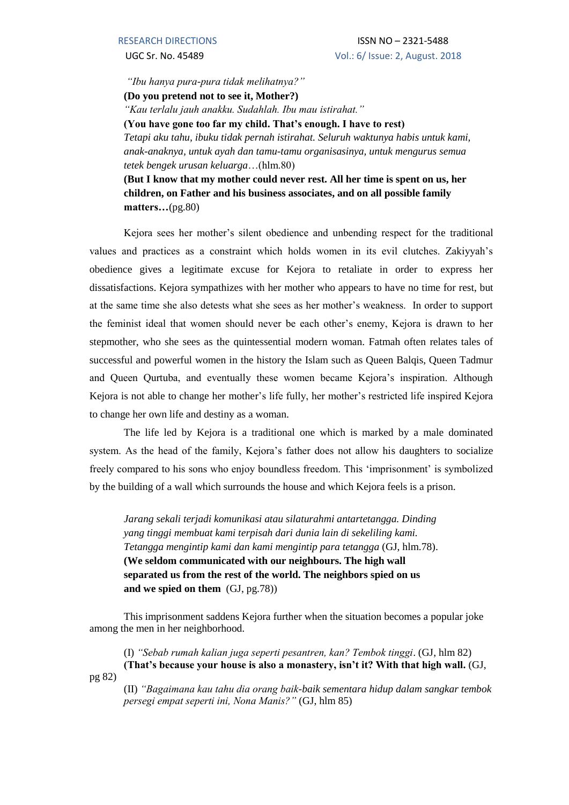*"Ibu hanya pura-pura tidak melihatnya?"*

**(Do you pretend not to see it, Mother?)**

*"Kau terlalu jauh anakku. Sudahlah. Ibu mau istirahat."*

**(You have gone too far my child. That's enough. I have to rest)**

*Tetapi aku tahu, ibuku tidak pernah istirahat. Seluruh waktunya habis untuk kami, anak-anaknya, untuk ayah dan tamu-tamu organisasinya, untuk mengurus semua tetek bengek urusan keluarga*…(hlm.80)

**(But I know that my mother could never rest. All her time is spent on us, her children, on Father and his business associates, and on all possible family matters…**(pg.80)

Kejora sees her mother's silent obedience and unbending respect for the traditional values and practices as a constraint which holds women in its evil clutches. Zakiyyah's obedience gives a legitimate excuse for Kejora to retaliate in order to express her dissatisfactions. Kejora sympathizes with her mother who appears to have no time for rest, but at the same time she also detests what she sees as her mother's weakness. In order to support the feminist ideal that women should never be each other's enemy, Kejora is drawn to her stepmother, who she sees as the quintessential modern woman. Fatmah often relates tales of successful and powerful women in the history the Islam such as Queen Balqis, Queen Tadmur and Queen Qurtuba, and eventually these women became Kejora's inspiration. Although Kejora is not able to change her mother's life fully, her mother's restricted life inspired Kejora to change her own life and destiny as a woman.

The life led by Kejora is a traditional one which is marked by a male dominated system. As the head of the family, Kejora's father does not allow his daughters to socialize freely compared to his sons who enjoy boundless freedom. This 'imprisonment' is symbolized by the building of a wall which surrounds the house and which Kejora feels is a prison.

*Jarang sekali terjadi komunikasi atau silaturahmi antartetangga. Dinding yang tinggi membuat kami terpisah dari dunia lain di sekeliling kami. Tetangga mengintip kami dan kami mengintip para tetangga* (GJ, hlm.78). **(We seldom communicated with our neighbours. The high wall separated us from the rest of the world. The neighbors spied on us and we spied on them** (GJ, pg.78))

This imprisonment saddens Kejora further when the situation becomes a popular joke among the men in her neighborhood.

(I) *"Sebab rumah kalian juga seperti pesantren, kan? Tembok tinggi*. (GJ, hlm 82) **(That's because your house is also a monastery, isn't it? With that high wall.** (GJ,

pg 82)

(II) *"Bagaimana kau tahu dia orang baik-baik sementara hidup dalam sangkar tembok persegi empat seperti ini, Nona Manis?"* (GJ, hlm 85)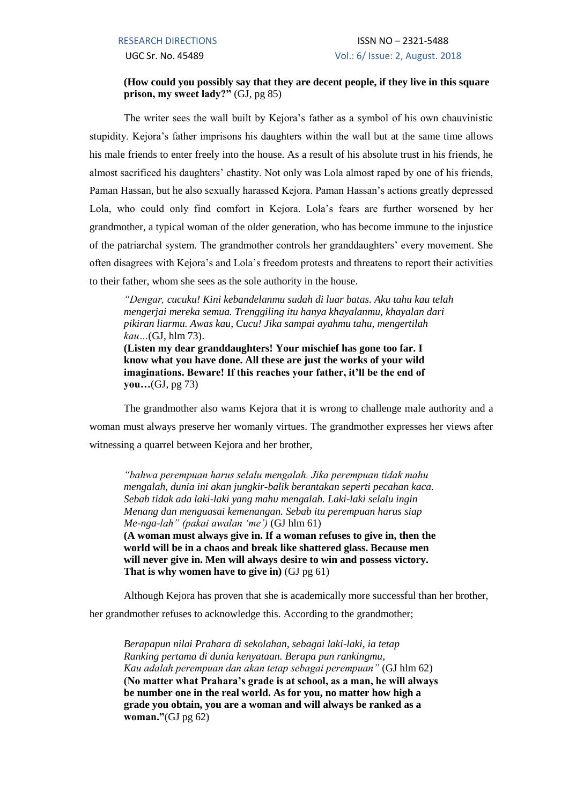## **(How could you possibly say that they are decent people, if they live in this square prison, my sweet lady?"** (GJ, pg 85)

The writer sees the wall built by Kejora's father as a symbol of his own chauvinistic stupidity. Kejora's father imprisons his daughters within the wall but at the same time allows his male friends to enter freely into the house. As a result of his absolute trust in his friends, he almost sacrificed his daughters' chastity. Not only was Lola almost raped by one of his friends, Paman Hassan, but he also sexually harassed Kejora. Paman Hassan's actions greatly depressed Lola, who could only find comfort in Kejora. Lola's fears are further worsened by her grandmother, a typical woman of the older generation, who has become immune to the injustice of the patriarchal system. The grandmother controls her granddaughters' every movement. She often disagrees with Kejora's and Lola's freedom protests and threatens to report their activities to their father, whom she sees as the sole authority in the house.

*"Dengar, cucuku! Kini kebandelanmu sudah di luar batas. Aku tahu kau telah mengerjai mereka semua. Trenggiling itu hanya khayalanmu, khayalan dari pikiran liarmu. Awas kau, Cucu! Jika sampai ayahmu tahu, mengertilah kau…*(GJ, hlm 73).

**(Listen my dear granddaughters! Your mischief has gone too far. I know what you have done. All these are just the works of your wild imaginations. Beware! If this reaches your father, it'll be the end of you…**(GJ, pg 73)

The grandmother also warns Kejora that it is wrong to challenge male authority and a woman must always preserve her womanly virtues. The grandmother expresses her views after witnessing a quarrel between Kejora and her brother,

*"bahwa perempuan harus selalu mengalah. Jika perempuan tidak mahu mengalah, dunia ini akan jungkir-balik berantakan seperti pecahan kaca. Sebab tidak ada laki-laki yang mahu mengalah. Laki-laki selalu ingin Menang dan menguasai kemenangan. Sebab itu perempuan harus siap Me-nga-lah" (pakai awalan 'me')* (GJ hlm 61) **(A woman must always give in. If a woman refuses to give in, then the world will be in a chaos and break like shattered glass. Because men will never give in. Men will always desire to win and possess victory. That is why women have to give in)** (GJ pg 61)

Although Kejora has proven that she is academically more successful than her brother,

her grandmother refuses to acknowledge this. According to the grandmother;

*Berapapun nilai Prahara di sekolahan, sebagai laki-laki, ia tetap Ranking pertama di dunia kenyataan. Berapa pun rankingmu, Kau adalah perempuan dan akan tetap sebagai perempuan"* (GJ hlm 62) **(No matter what Prahara's grade is at school, as a man, he will always be number one in the real world. As for you, no matter how high a grade you obtain, you are a woman and will always be ranked as a woman."**(GJ pg 62)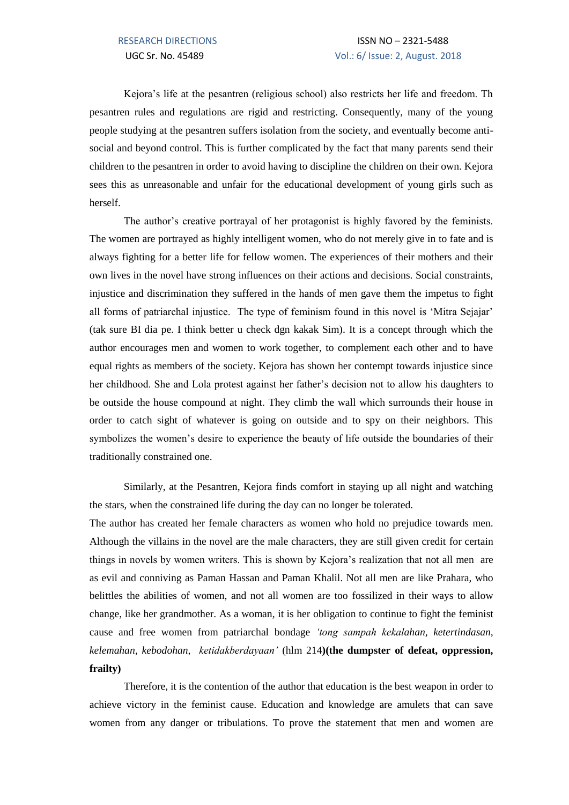Kejora's life at the pesantren (religious school) also restricts her life and freedom. Th pesantren rules and regulations are rigid and restricting. Consequently, many of the young people studying at the pesantren suffers isolation from the society, and eventually become antisocial and beyond control. This is further complicated by the fact that many parents send their children to the pesantren in order to avoid having to discipline the children on their own. Kejora sees this as unreasonable and unfair for the educational development of young girls such as herself.

The author's creative portrayal of her protagonist is highly favored by the feminists. The women are portrayed as highly intelligent women, who do not merely give in to fate and is always fighting for a better life for fellow women. The experiences of their mothers and their own lives in the novel have strong influences on their actions and decisions. Social constraints, injustice and discrimination they suffered in the hands of men gave them the impetus to fight all forms of patriarchal injustice. The type of feminism found in this novel is 'Mitra Sejajar' (tak sure BI dia pe. I think better u check dgn kakak Sim). It is a concept through which the author encourages men and women to work together, to complement each other and to have equal rights as members of the society. Kejora has shown her contempt towards injustice since her childhood. She and Lola protest against her father's decision not to allow his daughters to be outside the house compound at night. They climb the wall which surrounds their house in order to catch sight of whatever is going on outside and to spy on their neighbors. This symbolizes the women's desire to experience the beauty of life outside the boundaries of their traditionally constrained one.

Similarly, at the Pesantren, Kejora finds comfort in staying up all night and watching the stars, when the constrained life during the day can no longer be tolerated.

The author has created her female characters as women who hold no prejudice towards men. Although the villains in the novel are the male characters, they are still given credit for certain things in novels by women writers. This is shown by Kejora's realization that not all men are as evil and conniving as Paman Hassan and Paman Khalil. Not all men are like Prahara, who belittles the abilities of women, and not all women are too fossilized in their ways to allow change, like her grandmother. As a woman, it is her obligation to continue to fight the feminist cause and free women from patriarchal bondage *'tong sampah kekalahan, ketertindasan, kelemahan, kebodohan, ketidakberdayaan'* (hlm 214**)(the dumpster of defeat, oppression, frailty)**

Therefore, it is the contention of the author that education is the best weapon in order to achieve victory in the feminist cause. Education and knowledge are amulets that can save women from any danger or tribulations. To prove the statement that men and women are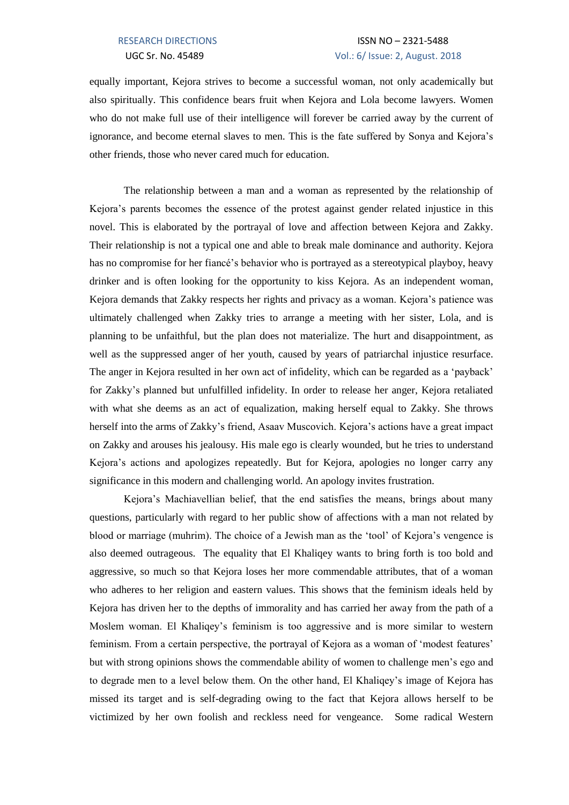## RESEARCH DIRECTIONS ISSN NO - 2321-5488 UGC Sr. No. 45489 Vol.: 6/ Issue: 2, August. 2018

equally important, Kejora strives to become a successful woman, not only academically but also spiritually. This confidence bears fruit when Kejora and Lola become lawyers. Women who do not make full use of their intelligence will forever be carried away by the current of ignorance, and become eternal slaves to men. This is the fate suffered by Sonya and Kejora's other friends, those who never cared much for education.

The relationship between a man and a woman as represented by the relationship of Kejora's parents becomes the essence of the protest against gender related injustice in this novel. This is elaborated by the portrayal of love and affection between Kejora and Zakky. Their relationship is not a typical one and able to break male dominance and authority. Kejora has no compromise for her fiancé's behavior who is portrayed as a stereotypical playboy, heavy drinker and is often looking for the opportunity to kiss Kejora. As an independent woman, Kejora demands that Zakky respects her rights and privacy as a woman. Kejora's patience was ultimately challenged when Zakky tries to arrange a meeting with her sister, Lola, and is planning to be unfaithful, but the plan does not materialize. The hurt and disappointment, as well as the suppressed anger of her youth, caused by years of patriarchal injustice resurface. The anger in Kejora resulted in her own act of infidelity, which can be regarded as a 'payback' for Zakky's planned but unfulfilled infidelity. In order to release her anger, Kejora retaliated with what she deems as an act of equalization, making herself equal to Zakky. She throws herself into the arms of Zakky's friend, Asaav Muscovich. Kejora's actions have a great impact on Zakky and arouses his jealousy. His male ego is clearly wounded, but he tries to understand Kejora's actions and apologizes repeatedly. But for Kejora, apologies no longer carry any significance in this modern and challenging world. An apology invites frustration.

Kejora's Machiavellian belief, that the end satisfies the means, brings about many questions, particularly with regard to her public show of affections with a man not related by blood or marriage (muhrim). The choice of a Jewish man as the 'tool' of Kejora's vengence is also deemed outrageous. The equality that El Khaliqey wants to bring forth is too bold and aggressive, so much so that Kejora loses her more commendable attributes, that of a woman who adheres to her religion and eastern values. This shows that the feminism ideals held by Kejora has driven her to the depths of immorality and has carried her away from the path of a Moslem woman. El Khaliqey's feminism is too aggressive and is more similar to western feminism. From a certain perspective, the portrayal of Kejora as a woman of 'modest features' but with strong opinions shows the commendable ability of women to challenge men's ego and to degrade men to a level below them. On the other hand, El Khaliqey's image of Kejora has missed its target and is self-degrading owing to the fact that Kejora allows herself to be victimized by her own foolish and reckless need for vengeance. Some radical Western